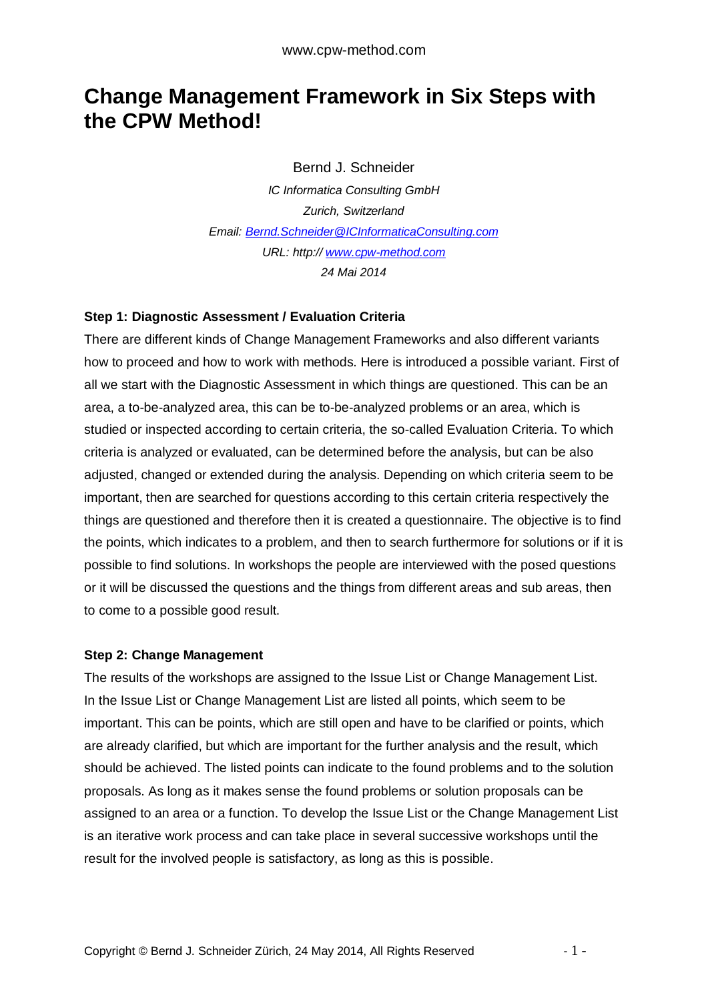# **Change Management Framework in Six Steps with the CPW Method!**

Bernd J. Schneider

*IC Informatica Consulting GmbH Zurich, Switzerland Email: [Bernd.Schneider@ICInformaticaConsulting.com](mailto:Bernd.Schneider@ICInformaticaConsulting.com) URL: http:// <www.cpw-method.com> 24 Mai 2014* 

#### **Step 1: Diagnostic Assessment / Evaluation Criteria**

There are different kinds of Change Management Frameworks and also different variants how to proceed and how to work with methods. Here is introduced a possible variant. First of all we start with the Diagnostic Assessment in which things are questioned. This can be an area, a to-be-analyzed area, this can be to-be-analyzed problems or an area, which is studied or inspected according to certain criteria, the so-called Evaluation Criteria. To which criteria is analyzed or evaluated, can be determined before the analysis, but can be also adjusted, changed or extended during the analysis. Depending on which criteria seem to be important, then are searched for questions according to this certain criteria respectively the things are questioned and therefore then it is created a questionnaire. The objective is to find the points, which indicates to a problem, and then to search furthermore for solutions or if it is possible to find solutions. In workshops the people are interviewed with the posed questions or it will be discussed the questions and the things from different areas and sub areas, then to come to a possible good result.

#### **Step 2: Change Management**

The results of the workshops are assigned to the Issue List or Change Management List. In the Issue List or Change Management List are listed all points, which seem to be important. This can be points, which are still open and have to be clarified or points, which are already clarified, but which are important for the further analysis and the result, which should be achieved. The listed points can indicate to the found problems and to the solution proposals. As long as it makes sense the found problems or solution proposals can be assigned to an area or a function. To develop the Issue List or the Change Management List is an iterative work process and can take place in several successive workshops until the result for the involved people is satisfactory, as long as this is possible.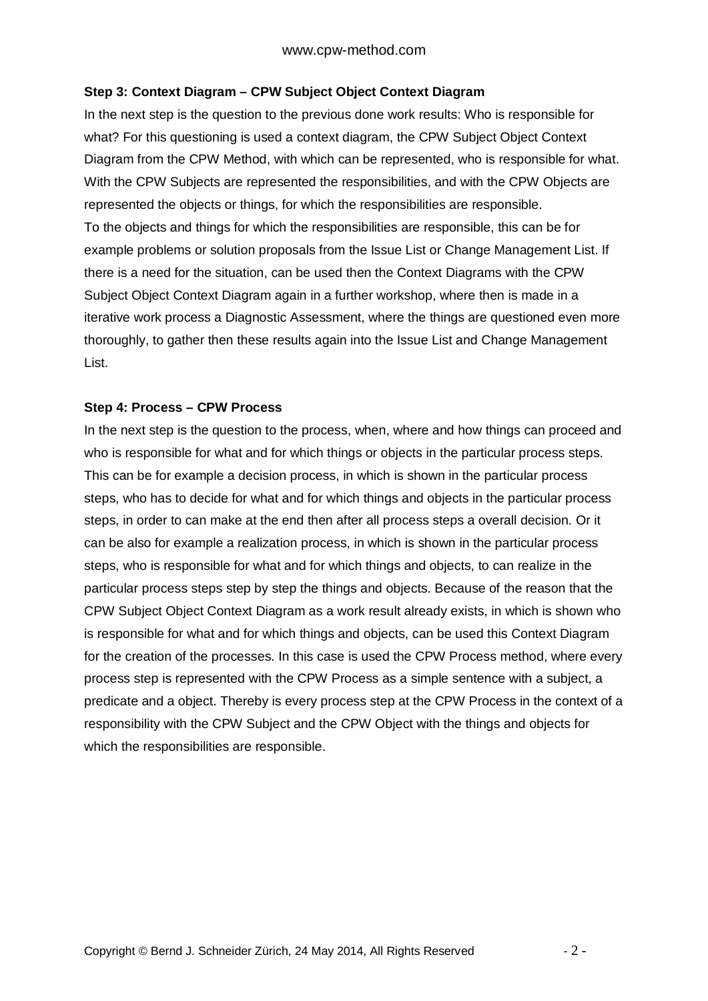# **Step 3: Context Diagram – CPW Subject Object Context Diagram**

In the next step is the question to the previous done work results: Who is responsible for what? For this questioning is used a context diagram, the CPW Subject Object Context Diagram from the CPW Method, with which can be represented, who is responsible for what. With the CPW Subjects are represented the responsibilities, and with the CPW Objects are represented the objects or things, for which the responsibilities are responsible. To the objects and things for which the responsibilities are responsible, this can be for example problems or solution proposals from the Issue List or Change Management List. If there is a need for the situation, can be used then the Context Diagrams with the CPW Subject Object Context Diagram again in a further workshop, where then is made in a iterative work process a Diagnostic Assessment, where the things are questioned even more thoroughly, to gather then these results again into the Issue List and Change Management List.

#### **Step 4: Process – CPW Process**

In the next step is the question to the process, when, where and how things can proceed and who is responsible for what and for which things or objects in the particular process steps. This can be for example a decision process, in which is shown in the particular process steps, who has to decide for what and for which things and objects in the particular process steps, in order to can make at the end then after all process steps a overall decision. Or it can be also for example a realization process, in which is shown in the particular process steps, who is responsible for what and for which things and objects, to can realize in the particular process steps step by step the things and objects. Because of the reason that the CPW Subject Object Context Diagram as a work result already exists, in which is shown who is responsible for what and for which things and objects, can be used this Context Diagram for the creation of the processes. In this case is used the CPW Process method, where every process step is represented with the CPW Process as a simple sentence with a subject, a predicate and a object. Thereby is every process step at the CPW Process in the context of a responsibility with the CPW Subject and the CPW Object with the things and objects for which the responsibilities are responsible.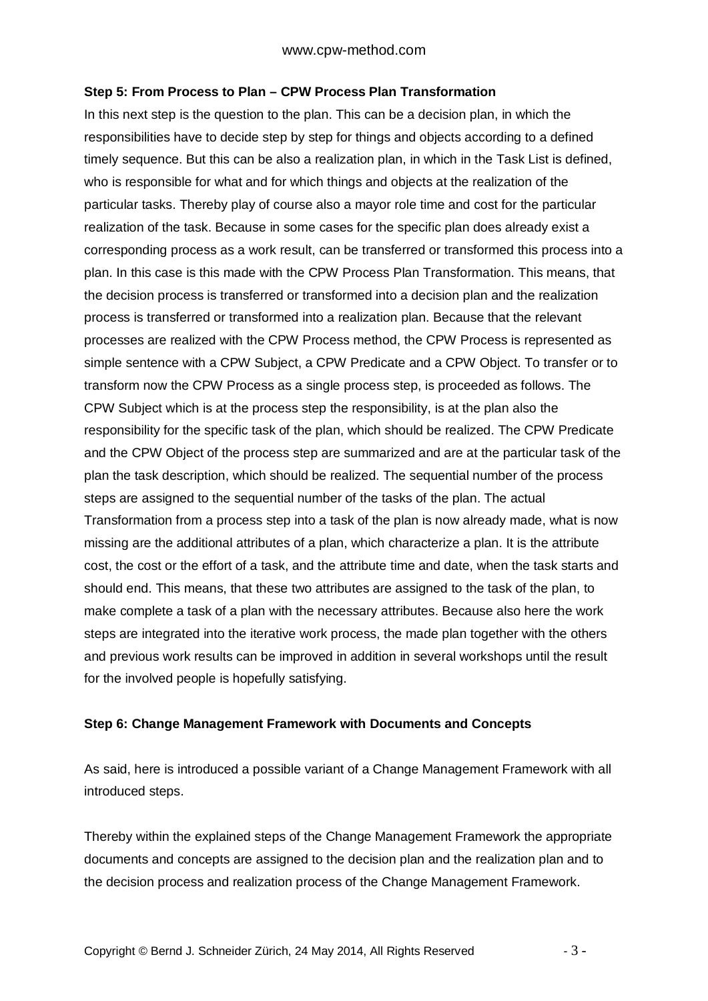## **Step 5: From Process to Plan – CPW Process Plan Transformation**

In this next step is the question to the plan. This can be a decision plan, in which the responsibilities have to decide step by step for things and objects according to a defined timely sequence. But this can be also a realization plan, in which in the Task List is defined, who is responsible for what and for which things and objects at the realization of the particular tasks. Thereby play of course also a mayor role time and cost for the particular realization of the task. Because in some cases for the specific plan does already exist a corresponding process as a work result, can be transferred or transformed this process into a plan. In this case is this made with the CPW Process Plan Transformation. This means, that the decision process is transferred or transformed into a decision plan and the realization process is transferred or transformed into a realization plan. Because that the relevant processes are realized with the CPW Process method, the CPW Process is represented as simple sentence with a CPW Subject, a CPW Predicate and a CPW Object. To transfer or to transform now the CPW Process as a single process step, is proceeded as follows. The CPW Subject which is at the process step the responsibility, is at the plan also the responsibility for the specific task of the plan, which should be realized. The CPW Predicate and the CPW Object of the process step are summarized and are at the particular task of the plan the task description, which should be realized. The sequential number of the process steps are assigned to the sequential number of the tasks of the plan. The actual Transformation from a process step into a task of the plan is now already made, what is now missing are the additional attributes of a plan, which characterize a plan. It is the attribute cost, the cost or the effort of a task, and the attribute time and date, when the task starts and should end. This means, that these two attributes are assigned to the task of the plan, to make complete a task of a plan with the necessary attributes. Because also here the work steps are integrated into the iterative work process, the made plan together with the others and previous work results can be improved in addition in several workshops until the result for the involved people is hopefully satisfying.

# **Step 6: Change Management Framework with Documents and Concepts**

As said, here is introduced a possible variant of a Change Management Framework with all introduced steps.

Thereby within the explained steps of the Change Management Framework the appropriate documents and concepts are assigned to the decision plan and the realization plan and to the decision process and realization process of the Change Management Framework.